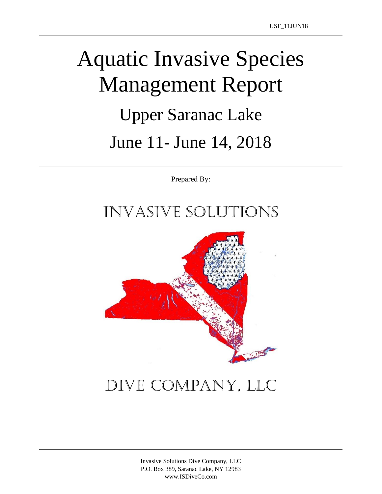## Aquatic Invasive Species Management Report Upper Saranac Lake June 11- June 14, 2018

Prepared By:

## Invasive Solutions



## Dive Company, LLC

Invasive Solutions Dive Company, LLC P.O. Box 389, Saranac Lake, NY 12983 www.ISDiveCo.com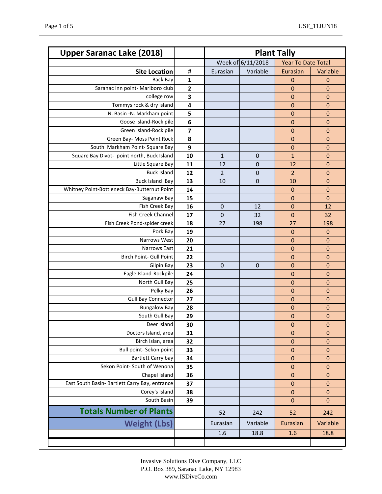| <b>Upper Saranac Lake (2018)</b>               |                         | <b>Plant Tally</b> |             |                           |             |
|------------------------------------------------|-------------------------|--------------------|-------------|---------------------------|-------------|
|                                                |                         | Week of 6/11/2018  |             | <b>Year To Date Total</b> |             |
| <b>Site Location</b>                           | #                       | Eurasian           | Variable    | Eurasian                  | Variable    |
| <b>Back Bay</b>                                | 1                       |                    |             | $\mathbf 0$               | $\mathbf 0$ |
| Saranac Inn point- Marlboro club               | $\overline{\mathbf{c}}$ |                    |             | $\mathbf 0$               | $\mathbf 0$ |
| college row                                    | $\overline{\mathbf{3}}$ |                    |             | $\mathbf 0$               | $\mathbf 0$ |
| Tommys rock & dry island                       | 4                       |                    |             | $\mathbf 0$               | $\mathbf 0$ |
| N. Basin -N. Markham point                     | 5                       |                    |             | $\mathbf 0$               | $\mathbf 0$ |
| Goose Island-Rock pile                         | 6                       |                    |             | $\mathbf 0$               | $\mathbf 0$ |
| Green Island-Rock pile                         | $\overline{\mathbf{z}}$ |                    |             | $\mathbf 0$               | $\mathbf 0$ |
| Green Bay- Moss Point Rock                     | 8                       |                    |             | $\mathbf 0$               | $\mathbf 0$ |
| South Markham Point-Square Bay                 | 9                       |                    |             | $\mathbf 0$               | $\mathbf 0$ |
| Square Bay Divot- point north, Buck Island     | 10                      | $\mathbf{1}$       | $\mathbf 0$ | $\mathbf{1}$              | $\mathbf 0$ |
| Little Square Bay                              | 11                      | 12                 | 0           | 12                        | $\mathbf 0$ |
| <b>Buck Island</b>                             | 12                      | $\overline{2}$     | $\mathbf 0$ | $\overline{2}$            | $\mathbf 0$ |
| <b>Buck Island Bay</b>                         | 13                      | 10                 | $\mathbf 0$ | 10                        | $\mathbf 0$ |
| Whitney Point-Bottleneck Bay-Butternut Point   | 14                      |                    |             | $\mathbf 0$               | $\mathbf 0$ |
| Saganaw Bay                                    | 15                      |                    |             | $\mathbf 0$               | $\mathbf 0$ |
| Fish Creek Bay                                 | 16                      | 0                  | 12          | $\mathbf 0$               | 12          |
| Fish Creek Channel                             | 17                      | $\mathbf 0$        | 32          | $\mathbf 0$               | 32          |
| Fish Creek Pond-spider creek                   | 18                      | 27                 | 198         | 27                        | 198         |
| Pork Bay                                       | 19                      |                    |             | $\mathbf 0$               | $\mathbf 0$ |
| Narrows West                                   | 20                      |                    |             | $\mathbf 0$               | $\mathbf 0$ |
| <b>Narrows East</b>                            | 21                      |                    |             | $\mathbf 0$               | $\mathbf 0$ |
| Birch Point- Gull Point                        | 22                      |                    |             | $\mathbf 0$               | $\mathbf 0$ |
| Gilpin Bay                                     | 23                      | $\mathbf 0$        | 0           | $\mathbf 0$               | $\mathbf 0$ |
| Eagle Island-Rockpile                          | 24                      |                    |             | $\mathbf 0$               | $\mathbf 0$ |
| North Gull Bay                                 | 25                      |                    |             | $\overline{0}$            | $\mathbf 0$ |
| Pelky Bay                                      | 26                      |                    |             | $\mathbf 0$               | $\mathbf 0$ |
| <b>Gull Bay Connector</b>                      | 27                      |                    |             | $\mathbf 0$               | $\mathbf 0$ |
| <b>Bungalow Bay</b>                            | 28                      |                    |             | $\mathbf 0$               | $\mathbf 0$ |
| South Gull Bay                                 | 29                      |                    |             | 0                         | $\mathbf 0$ |
| Deer Island                                    | 30                      |                    |             | $\pmb{0}$                 | $\pmb{0}$   |
| Doctors Island, area                           | 31                      |                    |             | $\mathbf 0$               | $\mathbf 0$ |
| Birch Islan, area                              | 32                      |                    |             | $\pmb{0}$                 | $\pmb{0}$   |
| Bull point- Sekon point                        | 33                      |                    |             | 0                         | $\mathbf 0$ |
| Bartlett Carry bay                             | 34                      |                    |             | $\pmb{0}$                 | $\pmb{0}$   |
| Sekon Point- South of Wenona                   | 35                      |                    |             | $\mathbf 0$               | $\mathbf 0$ |
| Chapel Island                                  | 36                      |                    |             | $\pmb{0}$                 | $\pmb{0}$   |
| East South Basin- Bartlett Carry Bay, entrance | 37                      |                    |             | 0                         | $\mathbf 0$ |
| Corey's Island                                 | 38                      |                    |             | $\pmb{0}$                 | $\mathbf 0$ |
| South Basin                                    | 39                      |                    |             | $\mathbf 0$               | $\mathbf 0$ |
| <b>Totals Number of Plants</b>                 |                         | 52                 | 242         | 52                        | 242         |
| <b>Weight (Lbs)</b>                            |                         | Eurasian           | Variable    | Eurasian                  | Variable    |
|                                                |                         | 1.6                | 18.8        | 1.6                       | 18.8        |
|                                                |                         |                    |             |                           |             |

Invasive Solutions Dive Company, LLC P.O. Box 389, Saranac Lake, NY 12983 www.ISDiveCo.com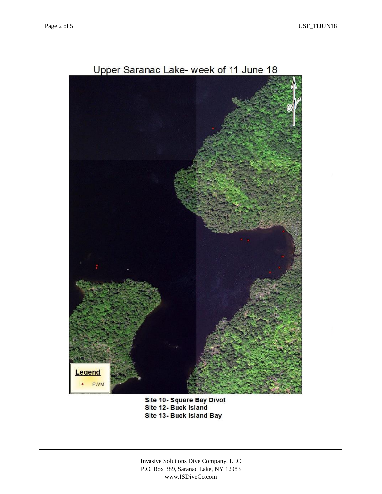

Upper Saranac Lake- week of 11 June 18

Site 10- Square Bay Divot Site 12- Buck Island Site 13- Buck Island Bay

Invasive Solutions Dive Company, LLC P.O. Box 389, Saranac Lake, NY 12983 www.ISDiveCo.com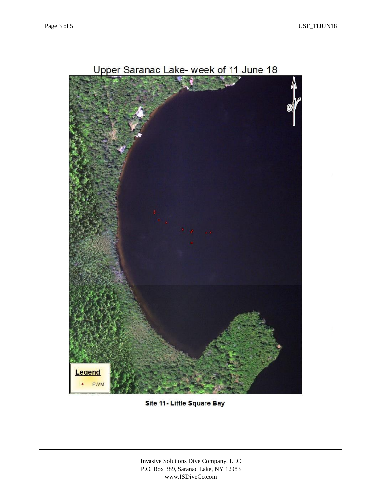

## Upper Saranac Lake- week of 11 June 18

Site 11-Little Square Bay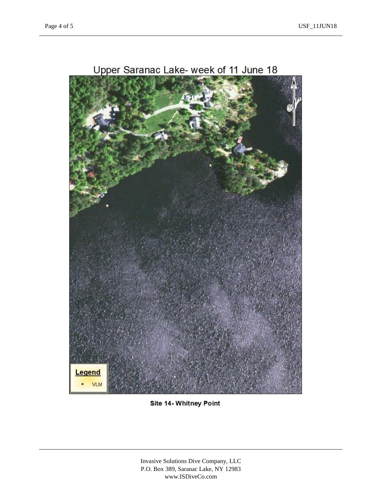

Upper Saranac Lake- week of 11 June 18

Site 14- Whitney Point